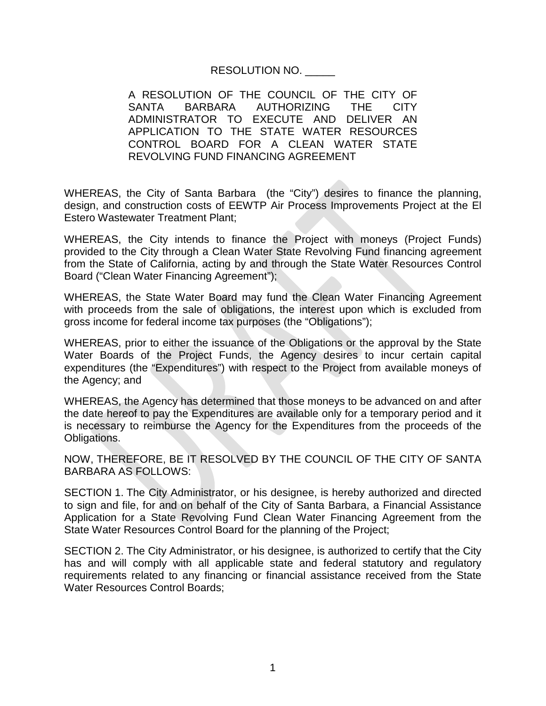## RESOLUTION NO. \_\_\_\_\_

A RESOLUTION OF THE COUNCIL OF THE CITY OF SANTA BARBARA AUTHORIZING THE CITY ADMINISTRATOR TO EXECUTE AND DELIVER AN APPLICATION TO THE STATE WATER RESOURCES CONTROL BOARD FOR A CLEAN WATER STATE REVOLVING FUND FINANCING AGREEMENT

WHEREAS, the City of Santa Barbara (the "City") desires to finance the planning, design, and construction costs of EEWTP Air Process Improvements Project at the El Estero Wastewater Treatment Plant;

WHEREAS, the City intends to finance the Project with moneys (Project Funds) provided to the City through a Clean Water State Revolving Fund financing agreement from the State of California, acting by and through the State Water Resources Control Board ("Clean Water Financing Agreement");

WHEREAS, the State Water Board may fund the Clean Water Financing Agreement with proceeds from the sale of obligations, the interest upon which is excluded from gross income for federal income tax purposes (the "Obligations");

WHEREAS, prior to either the issuance of the Obligations or the approval by the State Water Boards of the Project Funds, the Agency desires to incur certain capital expenditures (the "Expenditures") with respect to the Project from available moneys of the Agency; and

WHEREAS, the Agency has determined that those moneys to be advanced on and after the date hereof to pay the Expenditures are available only for a temporary period and it is necessary to reimburse the Agency for the Expenditures from the proceeds of the Obligations.

NOW, THEREFORE, BE IT RESOLVED BY THE COUNCIL OF THE CITY OF SANTA BARBARA AS FOLLOWS:

SECTION 1. The City Administrator, or his designee, is hereby authorized and directed to sign and file, for and on behalf of the City of Santa Barbara, a Financial Assistance Application for a State Revolving Fund Clean Water Financing Agreement from the State Water Resources Control Board for the planning of the Project;

SECTION 2. The City Administrator, or his designee, is authorized to certify that the City has and will comply with all applicable state and federal statutory and regulatory requirements related to any financing or financial assistance received from the State Water Resources Control Boards;